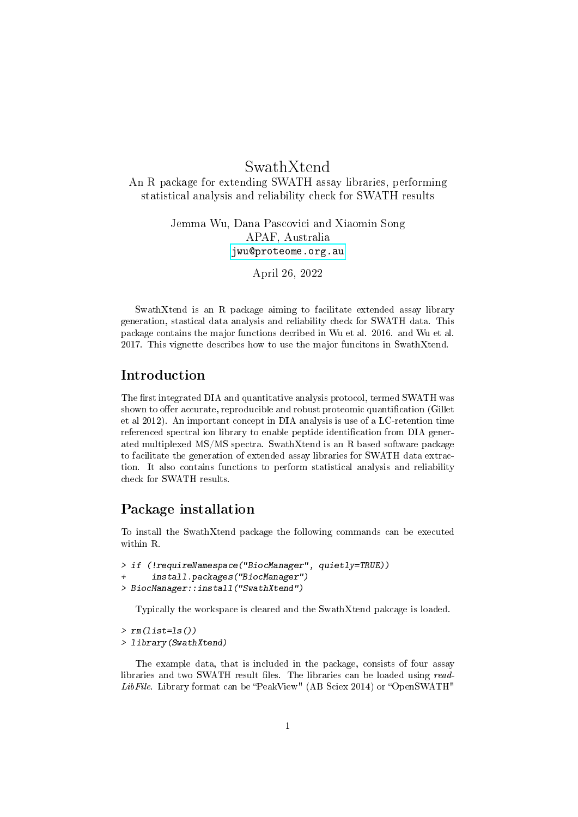# SwathXtend

An R package for extending SWATH assay libraries, performing statistical analysis and reliability check for SWATH results

> Jemma Wu, Dana Pascovici and Xiaomin Song APAF, Australia <jwu@proteome.org.au>

> > April 26, 2022

SwathXtend is an R package aiming to facilitate extended assay library generation, stastical data analysis and reliability check for SWATH data. This package contains the major functions decribed in Wu et al. 2016. and Wu et al. 2017. This vignette describes how to use the major funcitons in SwathXtend.

## Introduction

The first integrated DIA and quantitative analysis protocol, termed SWATH was shown to offer accurate, reproducible and robust proteomic quantification (Gillet et al 2012). An important concept in DIA analysis is use of a LC-retention time referenced spectral ion library to enable peptide identification from DIA generated multiplexed MS/MS spectra. SwathXtend is an R based software package to facilitate the generation of extended assay libraries for SWATH data extraction. It also contains functions to perform statistical analysis and reliability check for SWATH results.

# Package installation

To install the SwathXtend package the following commands can be executed within R.

```
> if (!requireNamespace("BiocManager", quietly=TRUE))
+ install.packages("BiocManager")
> BiocManager::install("SwathXtend")
```
Typically the workspace is cleared and the SwathXtend pakcage is loaded.

```
> rm(iist=ls())> library(SwathXtend)
```
The example data, that is included in the package, consists of four assay libraries and two SWATH result files. The libraries can be loaded using read-LibFile. Library format can be "PeakView" (AB Sciex 2014) or "OpenSWATH"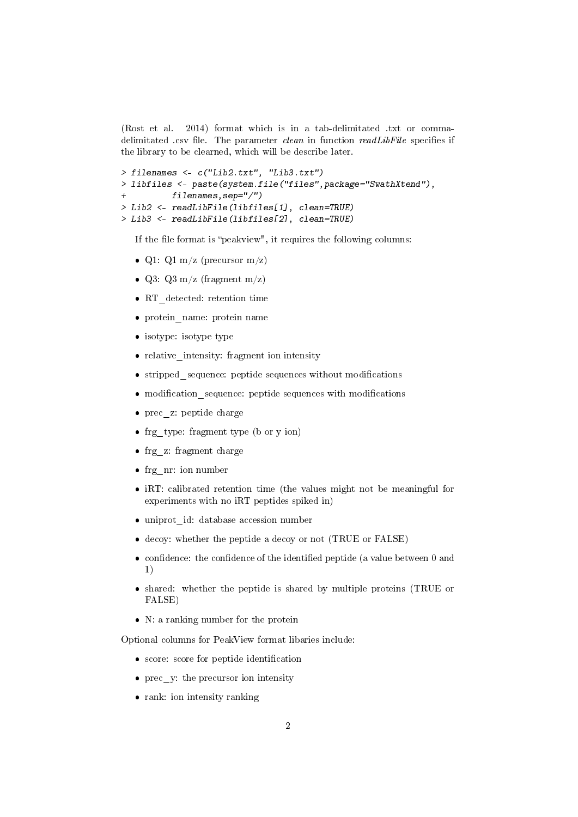(Rost et al. 2014) format which is in a tab-delimitated .txt or commadelimitated .csv file. The parameter *clean* in function  $readLibFile$  specifies if the library to be clearned, which will be describe later.

```
> filenames <- c("Lib2.txt", "Lib3.txt")
> libfiles <- paste(system.file("files",package="SwathXtend"),
         filenames, sep="/")> Lib2 <- readLibFile(libfiles[1], clean=TRUE)
> Lib3 <- readLibFile(libfiles[2], clean=TRUE)
```
If the file format is "peakview", it requires the following columns:

- Q1: Q1 m/z (precursor m/z)
- Q3: Q3 m/z (fragment m/z)
- RT\_detected: retention time
- protein\_name: protein name
- isotype: isotype type
- relative\_intensity: fragment ion intensity
- stripped sequence: peptide sequences without modifications
- $\bullet\,$  modification\_sequence: peptide sequences with modifications
- prec\_z: peptide charge
- frg\_type: fragment type (b or y ion)
- frg z: fragment charge
- frg\_nr: ion number
- iRT: calibrated retention time (the values might not be meaningful for experiments with no iRT peptides spiked in)
- uniprot\_id: database accession number
- decoy: whether the peptide a decoy or not (TRUE or FALSE)
- $\bullet$  confidence: the confidence of the identified peptide (a value between 0 and 1)
- shared: whether the peptide is shared by multiple proteins (TRUE or FALSE)
- N: a ranking number for the protein

Optional columns for PeakView format libaries include:

- score: score for peptide identification
- prec\_y: the precursor ion intensity
- rank: ion intensity ranking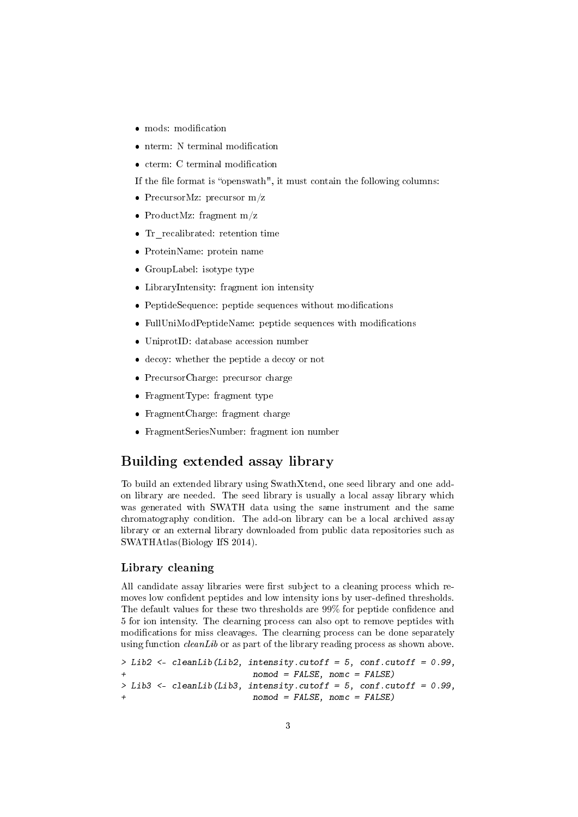- mods: modification
- $\bullet$  nterm: N terminal modification
- $\bullet\,$ cterm: C terminal modification
- If the file format is "openswath", it must contain the following columns:
- PrecursorMz: precursor  $m/z$
- ProductMz: fragment m/z
- Tr\_recalibrated: retention time
- ProteinName: protein name
- GroupLabel: isotype type
- LibraryIntensity: fragment ion intensity
- PeptideSequence: peptide sequences without modifications
- FullUniModPeptideName: peptide sequences with modifications
- UniprotID: database accession number
- decoy: whether the peptide a decoy or not
- PrecursorCharge: precursor charge
- FragmentType: fragment type
- FragmentCharge: fragment charge
- FragmentSeriesNumber: fragment ion number

# Building extended assay library

To build an extended library using SwathXtend, one seed library and one addon library are needed. The seed library is usually a local assay library which was generated with SWATH data using the same instrument and the same chromatography condition. The add-on library can be a local archived assay library or an external library downloaded from public data repositories such as SWATHAtlas(Biology IfS 2014).

### Library cleaning

All candidate assay libraries were first subject to a cleaning process which removes low confident peptides and low intensity ions by user-defined thresholds. The default values for these two thresholds are 99% for peptide confidence and 5 for ion intensity. The clearning process can also opt to remove peptides with modifications for miss cleavages. The clearning process can be done separately using function *cleanLib* or as part of the library reading process as shown above.

```
> Lib2 <- cleanLib(Lib2, intensity.cutoff = 5, conf.cutoff = 0.99,
                          nomod = FALSE, nomc = FALSE)
> Lib3 \leq cleanLib(Lib3, intensity.cutoff = 5, conf.cutoff = 0.99,
                          nomod = FALSE, nomc = FALSE)
```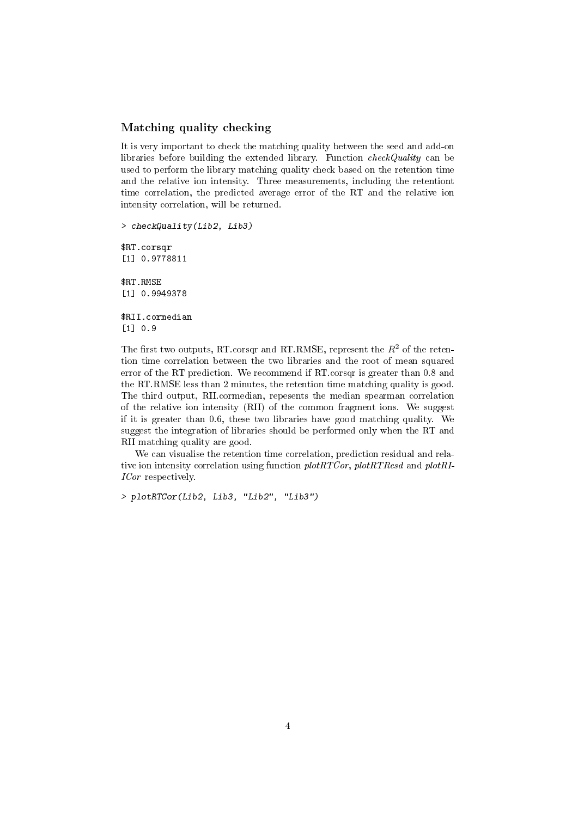### Matching quality checking

It is very important to check the matching quality between the seed and add-on libraries before building the extended library. Function checkQuality can be used to perform the library matching quality check based on the retention time and the relative ion intensity. Three measurements, including the retentiont time correlation, the predicted average error of the RT and the relative ion intensity correlation, will be returned.

> checkQuality(Lib2, Lib3)

\$RT.corsqr [1] 0.9778811 \$RT.RMSE [1] 0.9949378

\$RII.cormedian [1] 0.9

The first two outputs, RT.corsqr and RT.RMSE, represent the  $R^2$  of the retention time correlation between the two libraries and the root of mean squared error of the RT prediction. We recommend if RT.corsqr is greater than 0.8 and the RT.RMSE less than 2 minutes, the retention time matching quality is good. The third output, RII.cormedian, repesents the median spearman correlation of the relative ion intensity (RII) of the common fragment ions. We suggest if it is greater than 0.6, these two libraries have good matching quality. We suggest the integration of libraries should be performed only when the RT and RII matching quality are good.

We can visualise the retention time correlation, prediction residual and relative ion intensity correlation using function  $plotRTCor$ ,  $plotRTResd$  and  $plotRI$ -ICor respectively.

> plotRTCor(Lib2, Lib3, "Lib2", "Lib3")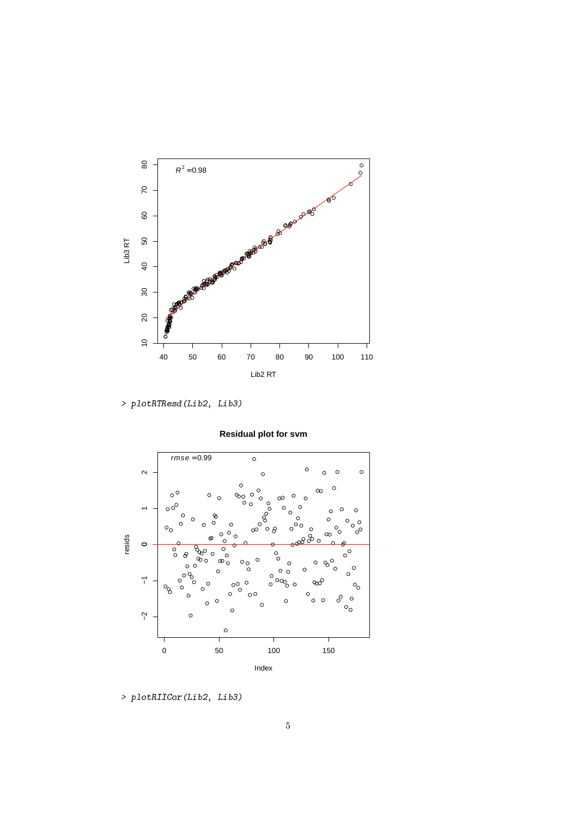

> plotRTResd(Lib2, Lib3)



**Residual plot for svm**

> plotRIICor(Lib2, Lib3)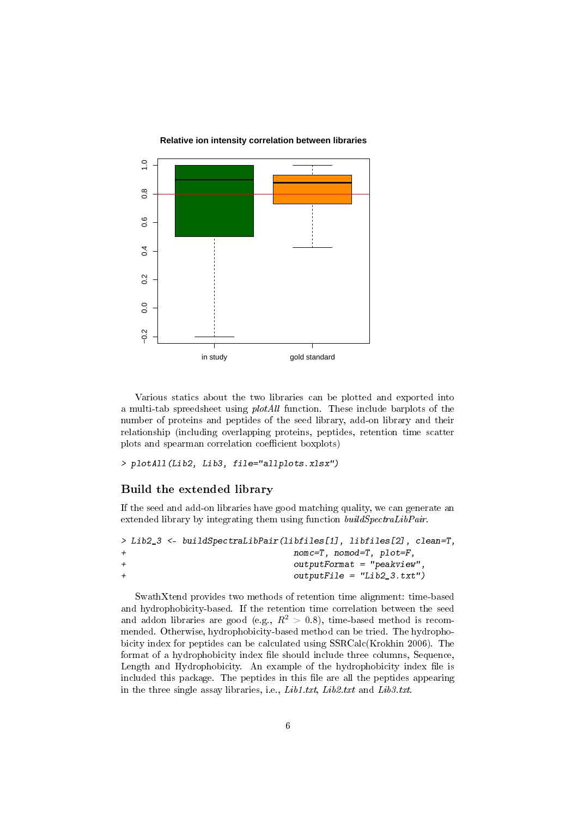

Various statics about the two libraries can be plotted and exported into a multi-tab spreedsheet using plotAll function. These include barplots of the number of proteins and peptides of the seed library, add-on library and their relationship (including overlapping proteins, peptides, retention time scatter plots and spearman correlation coefficient boxplots)

> plotAll(Lib2, Lib3, file="allplots.xlsx")

#### Build the extended library

If the seed and add-on libraries have good matching quality, we can generate an extended library by integrating them using function buildSpectraLibPair.

|     | > Lib2_3 <- buildSpectraLibPair(libfiles[1], libfiles[2], clean=T, |
|-----|--------------------------------------------------------------------|
| $+$ | $nomc=T$ , $nomod=T$ , $plot=F$ ,                                  |
| $+$ | $outputFormat = "peakview",$                                       |
| $+$ | $outputFile = "Lib2 3.txt")$                                       |
|     |                                                                    |

SwathXtend provides two methods of retention time alignment: time-based and hydrophobicity-based. If the retention time correlation between the seed and addon libraries are good (e.g.,  $R^2 > 0.8$ ), time-based method is recommended. Otherwise, hydrophobicity-based method can be tried. The hydrophobicity index for peptides can be calculated using SSRCalc(Krokhin 2006). The format of a hydrophobicity index file should include three columns, Sequence, Length and Hydrophobicity. An example of the hydrophobicity index file is included this package. The peptides in this file are all the peptides appearing in the three single assay libraries, i.e., Lib1.txt, Lib2.txt and Lib3.txt.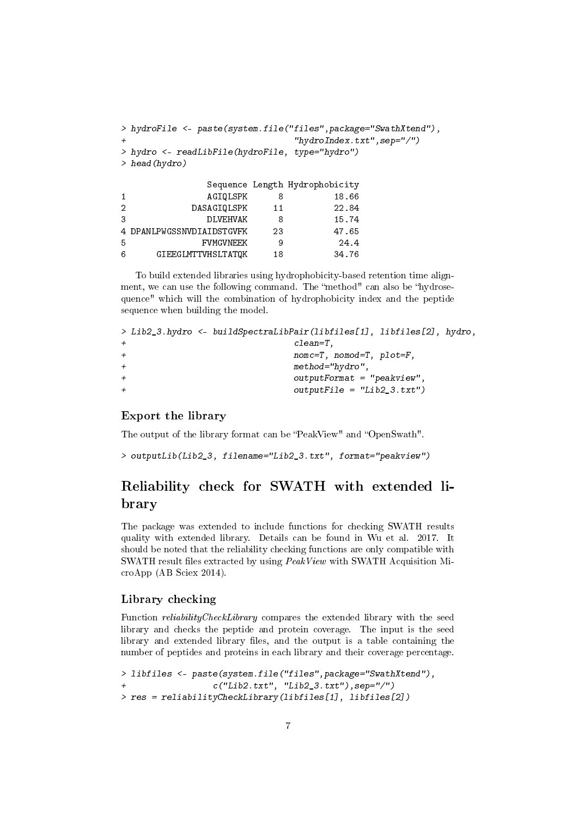```
> hydroFile <- paste(system.file("files",package="SwathXtend"),
                        "hydroIndex.txt", sep="1"> hydro <- readLibFile(hydroFile, type="hydro")
> head(hydro)
            Sequence Length Hydrophobicity
1 AGIQLSPK 8 18.66
2 DASAGIQLSPK 11 22.84
3 DLVEHVAK 8 15.74
4 DPANLPWGSSNVDIAIDSTGVFK 23 47.65
5 FVMGVNEEK 9 24.4
6 GIEEGLMTTVHSLTATQK 18 34.76
```
To build extended libraries using hydrophobicity-based retention time alignment, we can use the following command. The "method" can also be "hydrosequence" which will the combination of hydrophobicity index and the peptide sequence when building the model.

```
> Lib2_3.hydro <- buildSpectraLibPair(libfiles[1], libfiles[2], hydro,
+ clean=T,
+ nomc=T, nomod=T, plot=F,
+ method="hydro",
+ outputFormat = "peakview",
                    outputFile = "Lib2 3.txt")
```
### Export the library

The output of the library format can be "PeakView" and "OpenSwath".

> outputLib(Lib2\_3, filename="Lib2\_3.txt", format="peakview")

# Reliability check for SWATH with extended library

The package was extended to include functions for checking SWATH results quality with extended library. Details can be found in Wu et al. 2017. It should be noted that the reliability checking functions are only compatible with SWATH result files extracted by using *PeakView* with SWATH Acquisition MicroApp (AB Sciex 2014).

### Library checking

Function reliabilityCheckLibrary compares the extended library with the seed library and checks the peptide and protein coverage. The input is the seed library and extended library files, and the output is a table containing the number of peptides and proteins in each library and their coverage percentage.

```
> libfiles <- paste(system.file("files",package="SwathXtend"),
                  c("Lib2.txt", "Lib2_3.txt"), sep="/")> res = reliabilityCheckLibrary(libfiles[1], libfiles[2])
```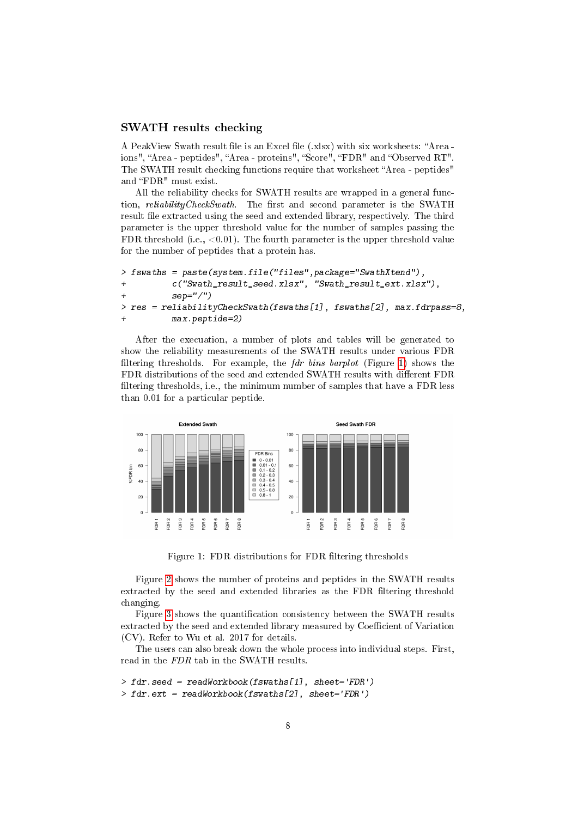#### SWATH results checking

A PeakView Swath result file is an Excel file (.xlsx) with six worksheets: "Area ions", "Area - peptides", "Area - proteins", "Score", "FDR" and "Observed RT". The SWATH result checking functions require that worksheet "Area - peptides" and "FDR" must exist.

All the reliability checks for SWATH results are wrapped in a general function, *reliabilityCheckSwath*. The first and second parameter is the SWATH result file extracted using the seed and extended library, respectively. The third parameter is the upper threshold value for the number of samples passing the FDR threshold (i.e.,  $< 0.01$ ). The fourth parameter is the upper threshold value for the number of peptides that a protein has.

```
> fswaths = paste(system.file("files",package="SwathXtend"),
+ c("Swath_result_seed.xlsx", "Swath_result_ext.xlsx"),
+ sep="/")
> res = reliabilityCheckSwath(fswaths[1], fswaths[2], max.fdrpass=8,
         max.peptide=2)
```
After the execuation, a number of plots and tables will be generated to show the reliability measurements of the SWATH results under various FDR filtering thresholds. For example, the  $fdr$  bins barplot (Figure [1\)](#page-7-0) shows the FDR distributions of the seed and extended SWATH results with different FDR filtering thresholds, i.e., the minimum number of samples that have a FDR less than 0.01 for a particular peptide.



<span id="page-7-0"></span>Figure 1: FDR distributions for FDR filtering thresholds

Figure [2](#page-8-0) shows the number of proteins and peptides in the SWATH results extracted by the seed and extended libraries as the FDR filtering threshold changing.

Figure [3](#page-9-0) shows the quantification consistency between the SWATH results extracted by the seed and extended library measured by Coefficient of Variation (CV). Refer to Wu et al. 2017 for details.

The users can also break down the whole process into individual steps. First, read in the FDR tab in the SWATH results.

```
> fdr.seed = readWorkbook(fswaths[1], sheet='FDR')
> fdr.ext = readWorkbook(fswaths[2], sheet='FDR')
```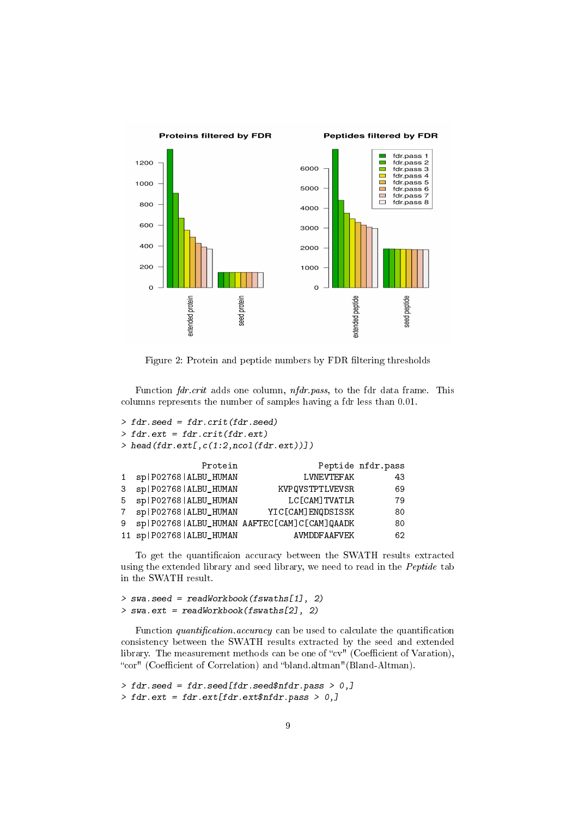

<span id="page-8-0"></span>Figure 2: Protein and peptide numbers by FDR filtering thresholds

Function fdr.crit adds one column, nfdr.pass, to the fdr data frame. This columns represents the number of samples having a fdr less than 0.01.

```
> fdr. seed = fdr. crit(fdr.seed)\rightarrow fdr.ext = fdr.crit(fdr.ext)
\geq head(fdr.ext[,c(1:2,ncol(fdr.ext))])
             Protein Peptide nfdr.pass
1 sp|P02768|ALBU_HUMAN LVNEVTEFAK 43
3 sp|P02768|ALBU_HUMAN KVPQVSTPTLVEVSR 69
5 sp|P02768|ALBU_HUMAN LC[CAM]TVATLR 79
7 sp|P02768|ALBU_HUMAN YIC[CAM]ENQDSISSK 80
```
9 sp|P02768|ALBU\_HUMAN AAFTEC[CAM]C[CAM]QAADK 80 11 sp|P02768|ALBU\_HUMAN AVMDDFAAFVEK 62

To get the quantificaion accuracy between the SWATH results extracted using the extended library and seed library, we need to read in the Peptide tab in the SWATH result.

```
> swa.seed = readWorkbook(fswaths[1], 2)
> swa.ext = readWorkbook(fswaths[2], 2)
```
Function *quantification.accuracy* can be used to calculate the quantification consistency between the SWATH results extracted by the seed and extended library. The measurement methods can be one of "cv" (Coefficient of Varation), "cor" (Coefficient of Correlation) and "bland.altman"(Bland-Altman).

```
> fdr.seed = fdr.seed[fdr.seed$nfdr.pass > 0,]
> fdr.ext = fdr.ext[fdr.ext$nfdr.pass > 0,]
```